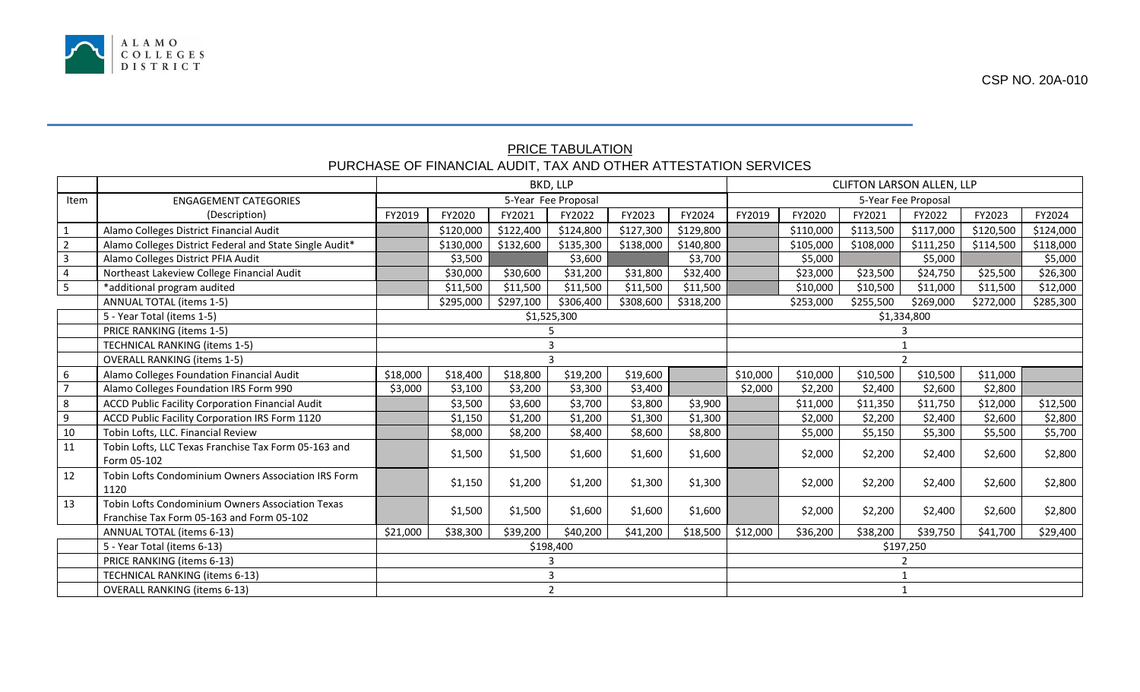

CSP NO. 20A-010

## PRICE TABULATION PURCHASE OF FINANCIAL AUDIT, TAX AND OTHER ATTESTATION SERVICES

|                |                                                                                               | BKD, LLP            |           |           |           |           |           |          | <b>CLIFTON LARSON ALLEN, LLP</b> |           |           |           |           |  |  |
|----------------|-----------------------------------------------------------------------------------------------|---------------------|-----------|-----------|-----------|-----------|-----------|----------|----------------------------------|-----------|-----------|-----------|-----------|--|--|
| Item           | <b>ENGAGEMENT CATEGORIES</b>                                                                  | 5-Year Fee Proposal |           |           |           |           |           |          | 5-Year Fee Proposal              |           |           |           |           |  |  |
|                | (Description)                                                                                 | FY2019              | FY2020    | FY2021    | FY2022    | FY2023    | FY2024    | FY2019   | FY2020                           | FY2021    | FY2022    | FY2023    | FY2024    |  |  |
| $\mathbf{1}$   | Alamo Colleges District Financial Audit                                                       |                     | \$120,000 | \$122,400 | \$124,800 | \$127,300 | \$129,800 |          | \$110,000                        | \$113,500 | \$117,000 | \$120,500 | \$124,000 |  |  |
| $\overline{2}$ | Alamo Colleges District Federal and State Single Audit*                                       |                     | \$130,000 | \$132,600 | \$135,300 | \$138,000 | \$140,800 |          | \$105,000                        | \$108,000 | \$111,250 | \$114,500 | \$118,000 |  |  |
| $\overline{3}$ | Alamo Colleges District PFIA Audit                                                            |                     | \$3,500   |           | \$3,600   |           | \$3,700   |          | \$5,000                          |           | \$5,000   |           | \$5,000   |  |  |
| $\overline{4}$ | Northeast Lakeview College Financial Audit                                                    |                     | \$30,000  | \$30,600  | \$31,200  | \$31,800  | \$32,400  |          | \$23,000                         | \$23,500  | \$24,750  | \$25,500  | \$26,300  |  |  |
| 5              | *additional program audited                                                                   |                     | \$11,500  | \$11,500  | \$11,500  | \$11,500  | \$11,500  |          | \$10,000                         | \$10,500  | \$11,000  | \$11,500  | \$12,000  |  |  |
|                | <b>ANNUAL TOTAL (items 1-5)</b>                                                               |                     | \$295,000 | \$297,100 | \$306,400 | \$308,600 | \$318,200 |          | \$253,000                        | \$255,500 | \$269,000 | \$272,000 | \$285,300 |  |  |
|                | 5 - Year Total (items 1-5)                                                                    | \$1,525,300         |           |           |           |           |           |          | \$1,334,800                      |           |           |           |           |  |  |
|                | PRICE RANKING (items 1-5)                                                                     |                     |           |           |           |           |           |          |                                  |           |           |           |           |  |  |
|                | <b>TECHNICAL RANKING (items 1-5)</b>                                                          |                     |           |           |           |           |           |          |                                  |           |           |           |           |  |  |
|                | <b>OVERALL RANKING (items 1-5)</b>                                                            |                     |           |           |           |           |           |          |                                  |           |           |           |           |  |  |
| 6              | Alamo Colleges Foundation Financial Audit                                                     | \$18,000            | \$18,400  | \$18,800  | \$19,200  | \$19,600  |           | \$10,000 | \$10,000                         | \$10,500  | \$10,500  | \$11,000  |           |  |  |
| $\overline{7}$ | Alamo Colleges Foundation IRS Form 990                                                        | \$3,000             | \$3,100   | \$3,200   | \$3,300   | \$3,400   |           | \$2,000  | \$2,200                          | \$2,400   | \$2,600   | \$2,800   |           |  |  |
| 8              | ACCD Public Facility Corporation Financial Audit                                              |                     | \$3,500   | \$3,600   | \$3,700   | \$3,800   | \$3,900   |          | \$11,000                         | \$11,350  | \$11,750  | \$12,000  | \$12,500  |  |  |
| $\overline{9}$ | ACCD Public Facility Corporation IRS Form 1120                                                |                     | \$1,150   | \$1,200   | \$1,200   | \$1,300   | \$1,300   |          | \$2,000                          | \$2,200   | \$2,400   | \$2,600   | \$2,800   |  |  |
| 10             | Tobin Lofts, LLC. Financial Review                                                            |                     | \$8,000   | \$8,200   | \$8,400   | \$8,600   | \$8,800   |          | \$5,000                          | \$5,150   | \$5,300   | \$5,500   | \$5,700   |  |  |
| 11             | Tobin Lofts, LLC Texas Franchise Tax Form 05-163 and<br>Form 05-102                           |                     | \$1,500   | \$1,500   | \$1,600   | \$1,600   | \$1,600   |          | \$2,000                          | \$2,200   | \$2,400   | \$2,600   | \$2,800   |  |  |
| 12             | Tobin Lofts Condominium Owners Association IRS Form<br>1120                                   |                     | \$1,150   | \$1,200   | \$1,200   | \$1,300   | \$1,300   |          | \$2,000                          | \$2,200   | \$2,400   | \$2,600   | \$2,800   |  |  |
| 13             | Tobin Lofts Condominium Owners Association Texas<br>Franchise Tax Form 05-163 and Form 05-102 |                     | \$1,500   | \$1,500   | \$1,600   | \$1,600   | \$1,600   |          | \$2,000                          | \$2,200   | \$2,400   | \$2,600   | \$2,800   |  |  |
|                | ANNUAL TOTAL (items 6-13)                                                                     | \$21,000            | \$38,300  | \$39,200  | \$40,200  | \$41,200  | \$18,500  | \$12,000 | \$36,200                         | \$38,200  | \$39,750  | \$41,700  | \$29,400  |  |  |
|                | 5 - Year Total (items 6-13)                                                                   | \$198,400           |           |           |           |           |           |          | \$197,250                        |           |           |           |           |  |  |
|                | PRICE RANKING (items 6-13)                                                                    |                     |           |           |           |           |           |          |                                  |           |           |           |           |  |  |
|                | TECHNICAL RANKING (items 6-13)                                                                | 3                   |           |           |           |           |           |          |                                  |           |           |           |           |  |  |
|                | <b>OVERALL RANKING (items 6-13)</b>                                                           | $\overline{2}$      |           |           |           |           |           |          |                                  |           |           |           |           |  |  |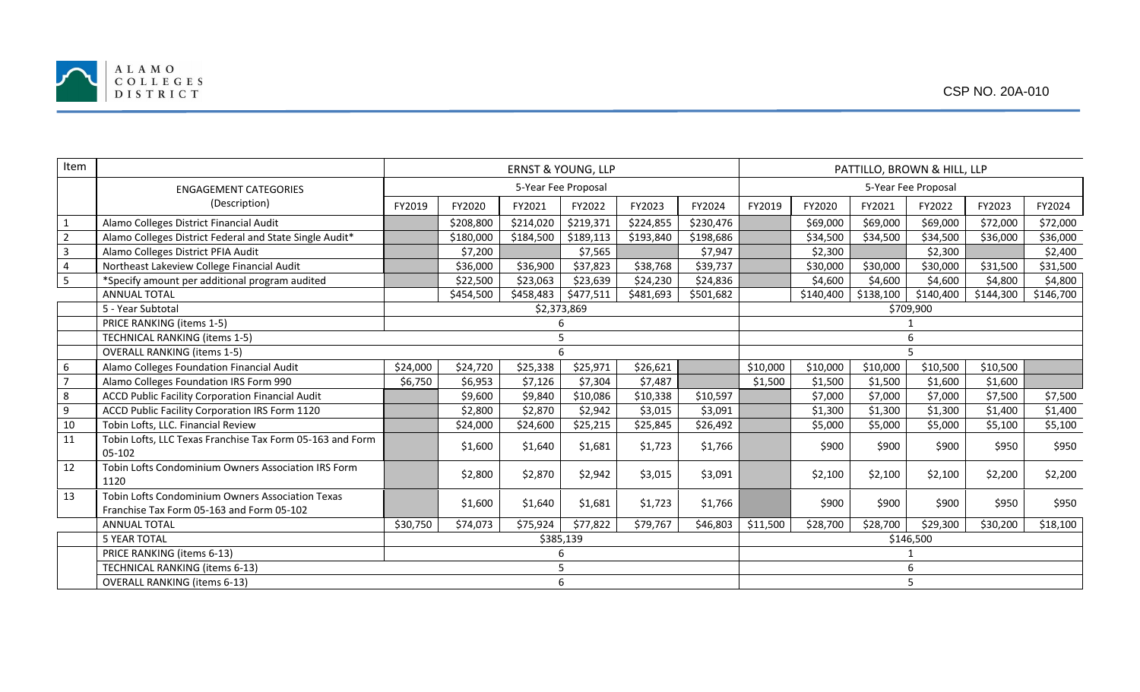

| Item           |                                                                                               | <b>ERNST &amp; YOUNG, LLP</b> |           |           |           |           |           | PATTILLO, BROWN & HILL, LLP |                     |           |           |           |           |  |  |
|----------------|-----------------------------------------------------------------------------------------------|-------------------------------|-----------|-----------|-----------|-----------|-----------|-----------------------------|---------------------|-----------|-----------|-----------|-----------|--|--|
|                | <b>ENGAGEMENT CATEGORIES</b>                                                                  | 5-Year Fee Proposal           |           |           |           |           |           |                             | 5-Year Fee Proposal |           |           |           |           |  |  |
|                | (Description)                                                                                 | FY2019                        | FY2020    | FY2021    | FY2022    | FY2023    | FY2024    | FY2019                      | FY2020              | FY2021    | FY2022    | FY2023    | FY2024    |  |  |
|                | Alamo Colleges District Financial Audit                                                       |                               | \$208,800 | \$214,020 | \$219,371 | \$224,855 | \$230,476 |                             | \$69,000            | \$69,000  | \$69,000  | \$72,000  | \$72,000  |  |  |
| $\overline{2}$ | Alamo Colleges District Federal and State Single Audit*                                       |                               | \$180,000 | \$184,500 | \$189,113 | \$193,840 | \$198,686 |                             | \$34,500            | \$34,500  | \$34,500  | \$36,000  | \$36,000  |  |  |
| 3              | Alamo Colleges District PFIA Audit                                                            |                               | \$7,200   |           | \$7,565   |           | \$7,947   |                             | \$2,300             |           | \$2,300   |           | \$2,400   |  |  |
| $\overline{4}$ | Northeast Lakeview College Financial Audit                                                    |                               | \$36,000  | \$36,900  | \$37,823  | \$38,768  | \$39,737  |                             | \$30,000            | \$30,000  | \$30,000  | \$31,500  | \$31,500  |  |  |
| 5              | *Specify amount per additional program audited                                                |                               | \$22,500  | \$23,063  | \$23,639  | \$24,230  | \$24,836  |                             | \$4,600             | \$4,600   | \$4,600   | \$4,800   | \$4,800   |  |  |
|                | <b>ANNUAL TOTAL</b>                                                                           |                               | \$454,500 | \$458,483 | \$477,511 | \$481,693 | \$501,682 |                             | \$140,400           | \$138,100 | \$140,400 | \$144,300 | \$146,700 |  |  |
|                | 5 - Year Subtotal                                                                             | \$2,373,869                   |           |           |           |           |           |                             | \$709,900           |           |           |           |           |  |  |
|                | PRICE RANKING (items 1-5)                                                                     |                               |           |           |           |           |           |                             |                     |           |           |           |           |  |  |
|                | <b>TECHNICAL RANKING (items 1-5)</b>                                                          | 5                             |           |           |           |           |           |                             | 6                   |           |           |           |           |  |  |
|                | <b>OVERALL RANKING (items 1-5)</b>                                                            |                               |           |           |           |           |           |                             |                     |           |           |           |           |  |  |
| 6              | Alamo Colleges Foundation Financial Audit                                                     | \$24,000                      | \$24,720  | \$25,338  | \$25,971  | \$26,621  |           | \$10,000                    | \$10,000            | \$10,000  | \$10,500  | \$10,500  |           |  |  |
| $\overline{7}$ | Alamo Colleges Foundation IRS Form 990                                                        | \$6,750                       | \$6,953   | \$7,126   | \$7,304   | \$7,487   |           | \$1,500                     | \$1,500             | \$1,500   | \$1,600   | \$1,600   |           |  |  |
| 8              | <b>ACCD Public Facility Corporation Financial Audit</b>                                       |                               | \$9,600   | \$9,840   | \$10,086  | \$10,338  | \$10,597  |                             | \$7,000             | \$7,000   | \$7,000   | \$7,500   | \$7,500   |  |  |
| 9              | ACCD Public Facility Corporation IRS Form 1120                                                |                               | \$2,800   | \$2,870   | \$2,942   | \$3,015   | \$3,091   |                             | \$1,300             | \$1,300   | \$1,300   | \$1,400   | \$1,400   |  |  |
| 10             | Tobin Lofts, LLC. Financial Review                                                            |                               | \$24,000  | \$24,600  | \$25,215  | \$25,845  | \$26,492  |                             | \$5,000             | \$5,000   | \$5,000   | \$5,100   | \$5,100   |  |  |
| 11             | Tobin Lofts, LLC Texas Franchise Tax Form 05-163 and Form<br>05-102                           |                               | \$1,600   | \$1,640   | \$1,681   | \$1,723   | \$1,766   |                             | \$900               | \$900     | \$900     | \$950     | \$950     |  |  |
| 12             | Tobin Lofts Condominium Owners Association IRS Form<br>1120                                   |                               | \$2,800   | \$2,870   | \$2,942   | \$3,015   | \$3,091   |                             | \$2,100             | \$2,100   | \$2,100   | \$2,200   | \$2,200   |  |  |
| 13             | Tobin Lofts Condominium Owners Association Texas<br>Franchise Tax Form 05-163 and Form 05-102 |                               | \$1,600   | \$1,640   | \$1,681   | \$1,723   | \$1,766   |                             | \$900               | \$900     | \$900     | \$950     | \$950     |  |  |
|                | <b>ANNUAL TOTAL</b>                                                                           | \$30,750                      | \$74,073  | \$75,924  | \$77,822  | \$79,767  | \$46,803  | \$11,500                    | \$28,700            | \$28,700  | \$29,300  | \$30,200  | \$18,100  |  |  |
|                | <b>5 YEAR TOTAL</b>                                                                           | \$385,139                     |           |           |           |           |           |                             | \$146,500           |           |           |           |           |  |  |
|                | PRICE RANKING (items 6-13)                                                                    |                               |           |           |           |           |           |                             | 1                   |           |           |           |           |  |  |
|                | TECHNICAL RANKING (items 6-13)                                                                | 5                             |           |           |           |           |           |                             | 6                   |           |           |           |           |  |  |
|                | <b>OVERALL RANKING (items 6-13)</b>                                                           | 6                             |           |           |           |           |           |                             | 5                   |           |           |           |           |  |  |